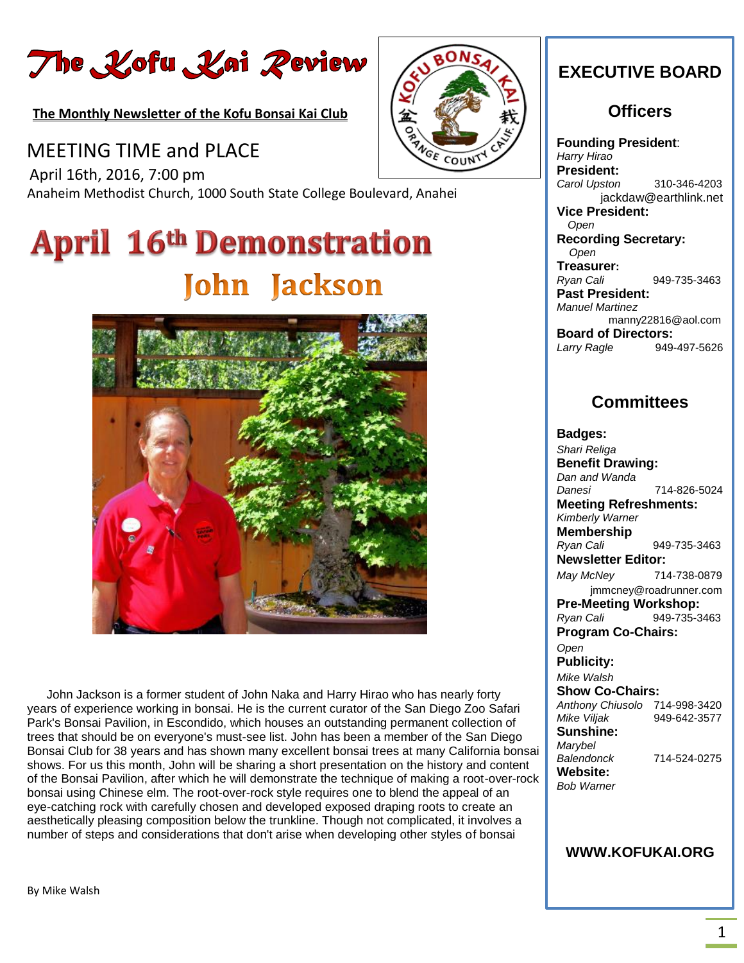The Kofu Kai Peview

**The Monthly Newsletter of the Kofu Bonsai Kai Club** 

# MEETING TIME and PLACE

 April 16th, 2016, 7:00 pm Anaheim Methodist Church, 1000 South State College Boulevard, Anahei

# **April 16th Demonstration John Jackson**



 John Jackson is a former student of John Naka and Harry Hirao who has nearly forty years of experience working in bonsai. He is the current curator of the San Diego Zoo Safari Park's Bonsai Pavilion, in Escondido, which houses an outstanding permanent collection of trees that should be on everyone's must-see list. John has been a member of the San Diego Bonsai Club for 38 years and has shown many excellent bonsai trees at many California bonsai shows. For us this month, John will be sharing a short presentation on the history and content of the Bonsai Pavilion, after which he will demonstrate the technique of making a root-over-rock bonsai using Chinese elm. The root-over-rock style requires one to blend the appeal of an eye-catching rock with carefully chosen and developed exposed draping roots to create an aesthetically pleasing composition below the trunkline. Though not complicated, it involves a number of steps and considerations that don't arise when developing other styles of bonsai



# **EXECUTIVE BOARD**

## **Officers**

**Founding President**: *Harry Hirao* **President:** *Carol Upston* 310-346-4203 jackdaw@earthlink.net **Vice President:** *Open* **Recording Secretary:** *Open* **Treasurer:** *Ryan Cali* 949-735-3463 **Past President:** *Manuel Martinez* manny22816@aol.com **Board of Directors:** *Larry Ragle* 949-497-5626

## **Committees**

**Badges:**

*Shari Religa* **Benefit Drawing:** *Dan and Wanda Danesi* 714-826-5024 **Meeting Refreshments:** *Kimberly Warner*  **Membership** *Ryan Cali* 949-735-3463 **Newsletter Editor:** *May McNey* 714-738-0879 jmmcney@roadrunner.com **Pre-Meeting Workshop:** *Ryan Cali* 949-735-3463 **Program Co-Chairs:** *Open* **Publicity:** *Mike Walsh*  **Show Co-Chairs:** *Anthony Chiusolo* 714-998-3420 *Mike Viljak* 949-642-3577 **Sunshine:** *Marybel Balendonck* 714-524-0275 **Website:** *Bob Warner* 

#### **WWW.KOFUKAI.ORG**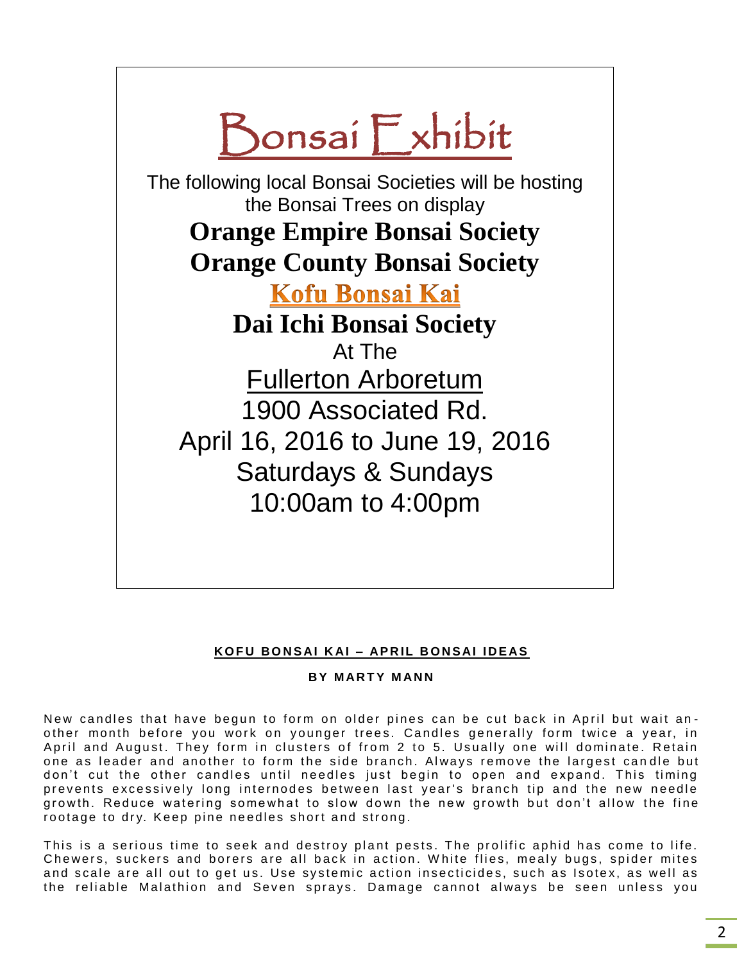

#### **K O F U BO N S AI K AI – AP R IL B O N SAI I D E AS**

#### **BY MARTY MANN**

New candles that have begun to form on older pines can be cut back in April but wait another month before you work on younger trees. Candles generally form twice a year, in April and August. They form in clusters of from 2 to 5. Usually one will dominate. Retain one as leader and another to form the side branch. Always remove the largest candle but don't cut the other candles until needles just begin to open and expand. This timing prevents excessively long internodes between last year's branch tip and the new needle growth. Reduce watering somewhat to slow down the new growth but don't allow the fine rootage to dry. Keep pine needles short and strong.

This is a serious time to seek and destroy plant pests. The prolific aphid has come to life. Chewers, suckers and borers are all back in action. White flies, mealy bugs, spider mites and scale are all out to get us. Use systemic action insecticides, such as Isotex, as well as the reliable Malathion and Seven sprays. Damage cannot always be seen unless you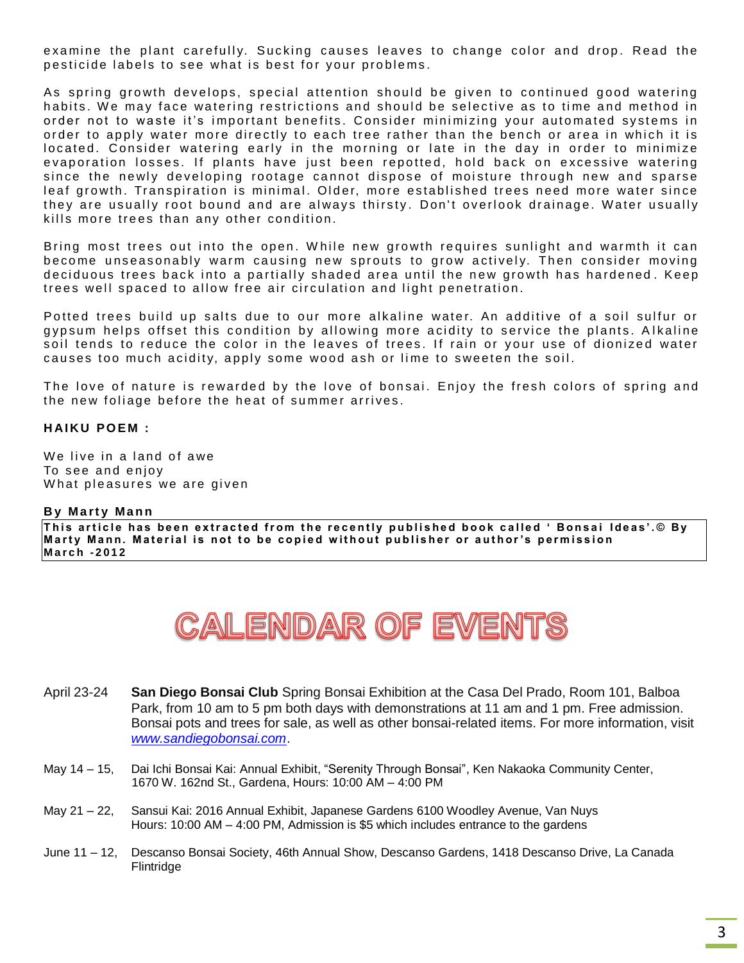examine the plant carefully. Sucking causes leaves to change color and drop. Read the pesticide labels to see what is best for your problems.

As spring growth develops, special attention should be given to continued good watering habits. We may face watering restrictions and should be selective as to time and method in order not to waste it's important benefits. Consider minimizing your automated systems in order to apply water more directly to each tree rather than the bench or area in which it is located. Consider watering early in the morning or late in the day in order to minimize evaporation losses. If plants have just been repotted, hold back on excessive watering since the newly developing rootage cannot dispose of moisture through new and sparse leaf growth. Transpiration is minimal. Older, more established trees need more water since they are usually root bound and are always thirsty. Don't overlook drainage. Water usually kills more trees than any other condition.

Bring most trees out into the open. While new growth requires sunlight and warmth it can become unseasonably warm causing new sprouts to grow actively. Then consider moving deciduous trees back into a partially shaded area until the new growth has hardened. Keep trees well spaced to allow free air circulation and light penetration.

Potted trees build up salts due to our more alkaline water. An additive of a soil sulfur or gypsum helps offset this condition by allowing more acidity to service the plants. Alkaline soil tends to reduce the color in the leaves of trees. If rain or your use of dionized water causes too much acidity, apply some wood ash or lime to sweeten the soil.

The love of nature is rewarded by the love of bonsai. Enjoy the fresh colors of spring and the new foliage before the heat of summer arrives.

**HAIKU POEM:** 

We live in a land of awe To see and enjoy What pleasures we are given

#### **B y M a rt y Ma n n**

This article has been extracted from the recently published book called 'Bonsai Ideas'.© By Marty Mann. Material is not to be copied without publisher or author's permission **M a r c h - 2 0 1 2**



- April 23-24 **San Diego Bonsai Club** Spring Bonsai Exhibition at the Casa Del Prado, Room 101, Balboa Park, from 10 am to 5 pm both days with demonstrations at 11 am and 1 pm. Free admission. Bonsai pots and trees for sale, as well as other bonsai-related items. For more information, visit *[www.sandiegobonsai.com](http://www.sandiegobonsai.com/)*.
- May 14 15, Dai Ichi Bonsai Kai: Annual Exhibit, "Serenity Through Bonsai", Ken Nakaoka Community Center, 1670 W. 162nd St., Gardena, Hours: 10:00 AM – 4:00 PM
- May 21 22, Sansui Kai: 2016 Annual Exhibit, Japanese Gardens 6100 Woodley Avenue, Van Nuys Hours: 10:00 AM – 4:00 PM, Admission is \$5 which includes entrance to the gardens
- June 11 12, Descanso Bonsai Society, 46th Annual Show, Descanso Gardens, 1418 Descanso Drive, La Canada **Flintridge**